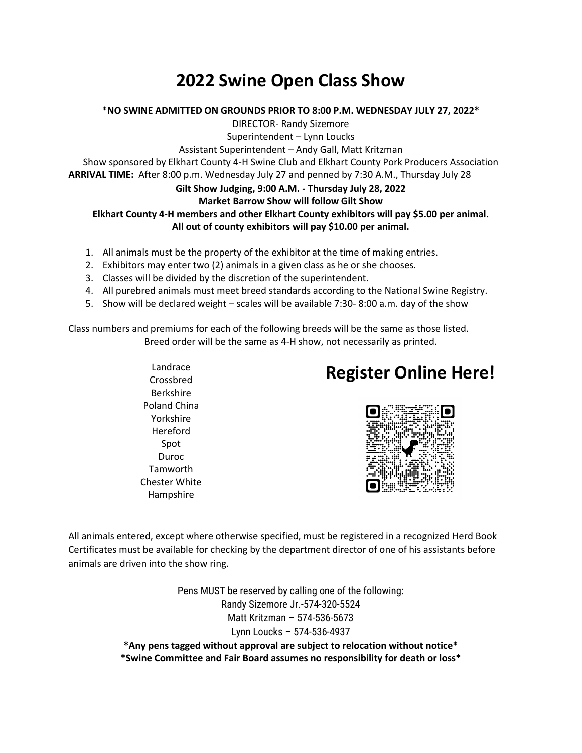# **2022 Swine Open Class Show**

#### \***NO SWINE ADMITTED ON GROUNDS PRIOR TO 8:00 P.M. WEDNESDAY JULY 27, 2022\***

DIRECTOR- Randy Sizemore

Superintendent – Lynn Loucks

Assistant Superintendent – Andy Gall, Matt Kritzman

Show sponsored by Elkhart County 4-H Swine Club and Elkhart County Pork Producers Association **ARRIVAL TIME:** After 8:00 p.m. Wednesday July 27 and penned by 7:30 A.M., Thursday July 28

### **Gilt Show Judging, 9:00 A.M. - Thursday July 28, 2022**

### **Market Barrow Show will follow Gilt Show**

#### **Elkhart County 4-H members and other Elkhart County exhibitors will pay \$5.00 per animal. All out of county exhibitors will pay \$10.00 per animal.**

- 1. All animals must be the property of the exhibitor at the time of making entries.
- 2. Exhibitors may enter two (2) animals in a given class as he or she chooses.
- 3. Classes will be divided by the discretion of the superintendent.
- 4. All purebred animals must meet breed standards according to the National Swine Registry.
- 5. Show will be declared weight scales will be available 7:30- 8:00 a.m. day of the show

Class numbers and premiums for each of the following breeds will be the same as those listed. Breed order will be the same as 4-H show, not necessarily as printed.

> Landrace Crossbred Berkshire Poland China Yorkshire Hereford Spot Duroc **Tamworth** Chester White Hampshire

### **Register Online Here!**



All animals entered, except where otherwise specified, must be registered in a recognized Herd Book Certificates must be available for checking by the department director of one of his assistants before animals are driven into the show ring.

> Pens MUST be reserved by calling one of the following: Randy Sizemore Jr.-574-320-5524 Matt Kritzman – 574-536-5673 Lynn Loucks – 574-536-4937

**\*Any pens tagged without approval are subject to relocation without notice\* \*Swine Committee and Fair Board assumes no responsibility for death or loss\***